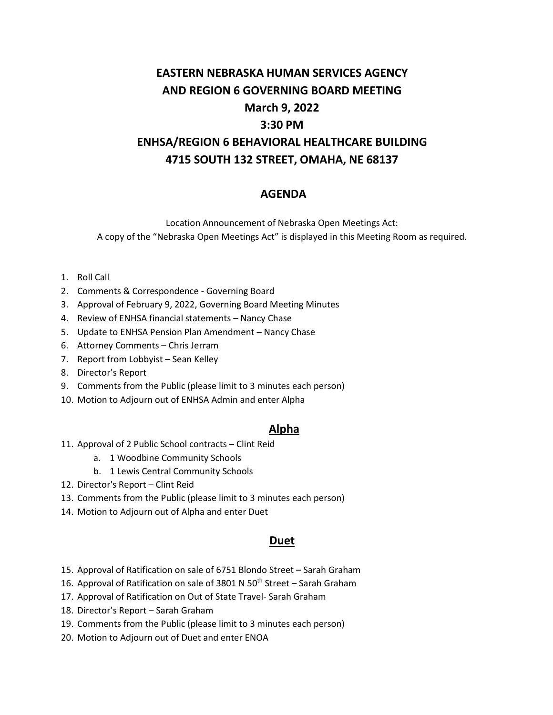# **EASTERN NEBRASKA HUMAN SERVICES AGENCY AND REGION 6 GOVERNING BOARD MEETING March 9, 2022 3:30 PM ENHSA/REGION 6 BEHAVIORAL HEALTHCARE BUILDING 4715 SOUTH 132 STREET, OMAHA, NE 68137**

## **AGENDA**

Location Announcement of Nebraska Open Meetings Act: A copy of the "Nebraska Open Meetings Act" is displayed in this Meeting Room as required.

- 1. Roll Call
- 2. Comments & Correspondence Governing Board
- 3. Approval of February 9, 2022, Governing Board Meeting Minutes
- 4. Review of ENHSA financial statements Nancy Chase
- 5. Update to ENHSA Pension Plan Amendment Nancy Chase
- 6. Attorney Comments Chris Jerram
- 7. Report from Lobbyist Sean Kelley
- 8. Director's Report
- 9. Comments from the Public (please limit to 3 minutes each person)
- 10. Motion to Adjourn out of ENHSA Admin and enter Alpha

### **Alpha**

- 11. Approval of 2 Public School contracts Clint Reid
	- a. 1 Woodbine Community Schools
	- b. 1 Lewis Central Community Schools
- 12. Director's Report Clint Reid
- 13. Comments from the Public (please limit to 3 minutes each person)
- 14. Motion to Adjourn out of Alpha and enter Duet

#### **Duet**

- 15. Approval of Ratification on sale of 6751 Blondo Street Sarah Graham
- 16. Approval of Ratification on sale of 3801 N 50<sup>th</sup> Street Sarah Graham
- 17. Approval of Ratification on Out of State Travel- Sarah Graham
- 18. Director's Report Sarah Graham
- 19. Comments from the Public (please limit to 3 minutes each person)
- 20. Motion to Adjourn out of Duet and enter ENOA